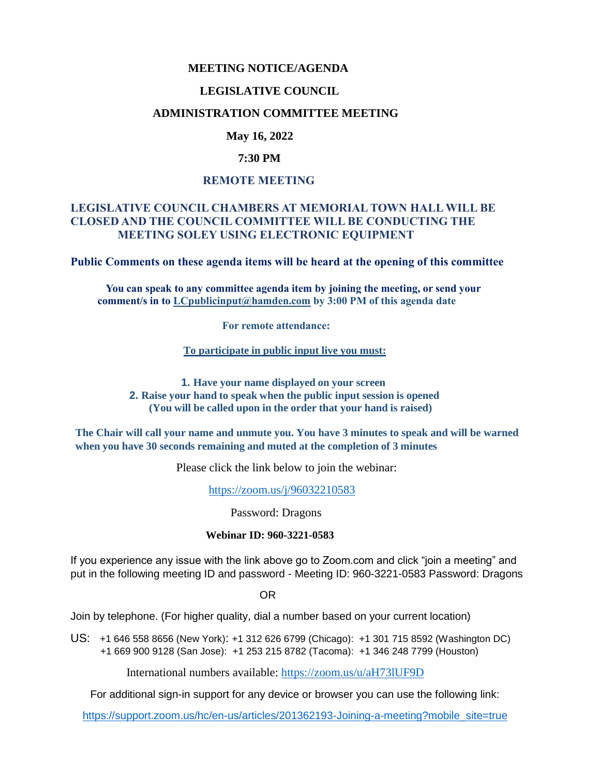## **MEETING NOTICE/AGENDA**

#### **LEGISLATIVE COUNCIL**

## **ADMINISTRATION COMMITTEE MEETING**

## **May 16, 2022**

## **7:30 PM**

## **REMOTE MEETING**

# **LEGISLATIVE COUNCIL CHAMBERS AT MEMORIAL TOWN HALL WILL BE CLOSED AND THE COUNCIL COMMITTEE WILL BE CONDUCTING THE MEETING SOLEY USING ELECTRONIC EQUIPMENT**

**Public Comments on these agenda items will be heard at the opening of this committee** 

 **You can speak to any committee agenda item by joining the meeting, or send your comment/s in to [LCpublicinput@hamden.com](mailto:LCpublicinput@hamden.com) by 3:00 PM of this agenda date**

 **For remote attendance:**

**To participate in public input live you must:**

**1. Have your name displayed on your screen 2. Raise your hand to speak when the public input session is opened (You will be called upon in the order that your hand is raised)**

**The Chair will call your name and unmute you. You have 3 minutes to speak and will be warned when you have 30 seconds remaining and muted at the completion of 3 minutes**

Please click the link below to join the webinar:

<https://zoom.us/j/96032210583>

Password: Dragons

#### **Webinar ID: 960-3221-0583**

If you experience any issue with the link above go to Zoom.com and click "join a meeting" and put in the following meeting ID and password - Meeting ID: 960-3221-0583 Password: Dragons

OR

Join by telephone. (For higher quality, dial a number based on your current location)

US: [+1 646 558 8656 \(New York\)](tel:+16465588656): [+1 312 626 6799 \(Chicago\):](tel:+13126266799) [+1 301 715 8592 \(Washington DC\)](tel:+13017158592) +1 669 900 9128 (San Jose): [+1 253 215 8782 \(Tacoma\):](tel:+12532158782) [+1 346 248 7799 \(Houston\)](tel:+13462487799)

International numbers available:<https://zoom.us/u/aH73lUF9D>

For additional sign-in support for any device or browser you can use the following link:

[https://support.zoom.us/hc/en-us/articles/201362193-Joining-a-meeting?mobile\\_site=true](https://support.zoom.us/hc/en-us/articles/201362193-Joining-a-meeting?mobile_site=true)